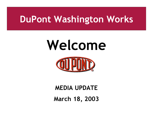# **Welcome**



### **MEDIA UPDATE March 18, 2003**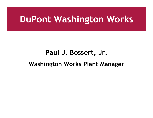### **Paul J. Bossert, Jr. Washington Works Plant Manager**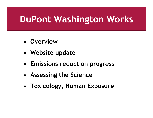- • **Overview**
- • **Website update**
- • **Emissions reduction progress**
- • **Assessing the Science**
- • **Toxicology, Human Exposure**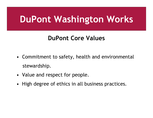#### **DuPont Core Values**

- Commitment to safety, health and environmental stewardship.
- Value and respect for people.
- High degree of ethics in all business practices.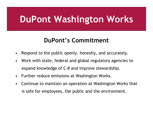#### **DuPont's Commitment**

- Respond to the public openly, honestly, and accurately.
- Work with state, federal and global regulatory agencies to expand knowledge of C-8 and improve stewardship.
- Further reduce emissions at Washington Works.
- Continue to maintain an operation at Washington Works that is safe for employees, the public and the environment.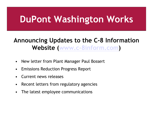#### **Announcing Updates to the C-8 Information Website (www.c-8inform.com)**

- New letter from Plant Manager Paul Bossert
- Emissions Reduction Progress Report
- Current news releases
- Recent letters from regulatory agencies
- The latest employee communications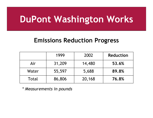#### **Emissions Reduction Progress**

|       | 1999   | 2002   | <b>Reduction</b> |
|-------|--------|--------|------------------|
| Air   | 31,209 | 14,480 | 53.6%            |
| Water | 55,597 | 5,688  | 89.8%            |
| Total | 86,806 | 20,168 | 76.8%            |

*\* Measurements in pounds*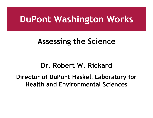#### **Assessing the Science**

#### **Dr. Robert W. Rickard**

#### **Director of DuPont Haskell Laboratory for Health and Environmental Sciences**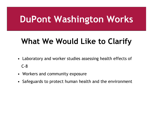### **What We Would Like to Clarify**

- Laboratory and worker studies assessing health effects of C-8
- Workers and community exposure
- Safeguards to protect human health and the environment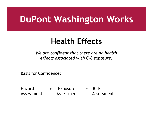### **Health Effects**

*We are confident that there are no health effects associated with C-8 exposure.*

Basis for Confidence:

Hazard + Exposure = Risk Assessment Assessment Assessment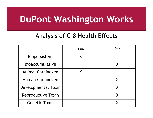#### Analysis of C-8 Health Effects

|                           | Yes | No |
|---------------------------|-----|----|
| <b>Biopersistent</b>      | Χ   |    |
| <b>Bioaccumulative</b>    |     |    |
| <b>Animal Carcinogen</b>  |     |    |
| Human Carcinogen          |     | X  |
| Developmental Toxin       |     | X  |
| <b>Reproductive Toxin</b> |     |    |
| <b>Genetic Toxin</b>      |     |    |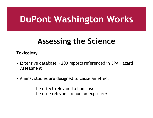### **Assessing the Science**

**Toxicology**

- Extensive database > 200 reports referenced in EPA Hazard Assessment
- Animal studies are designed to cause an effect
	- Is the effect relevant to humans?
	- Is the dose relevant to human exposure?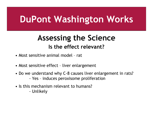### **Assessing the Science Is the effect relevant?**

- Most sensitive animal model rat
- Most sensitive effect liver enlargement
- Do we understand why C-8 causes liver enlargement in rats? - Yes – induces peroxisome proliferation
- Is this mechanism relevant to humans?
	- Unlikely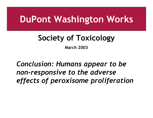### **Society of Toxicology**

**March 2003**

#### *Conclusion: Humans appear to be non-responsive to the adverse effects of peroxisome proliferation*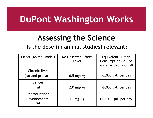### **Assessing the Science**

#### **Is the dose (in animal studies) relevant?**

| Effect (Animal Model)  | No Observed Effect<br>Level | Equivalent Human<br>Consumption Gal. of<br>Water with 3 ppb C-8 |
|------------------------|-----------------------------|-----------------------------------------------------------------|
| Chronic-liver          |                             |                                                                 |
| (rat and primate)      | $0.5$ mg/kg                 | $>2,000$ gal. per day                                           |
| Cancer                 |                             |                                                                 |
| (rat)                  | $2.0$ mg/kg                 | $>8,000$ gal. per day                                           |
| Reproduction/          |                             |                                                                 |
| Developmental<br>(rat) | $10 \text{ mg/kg}$          | $>40,000$ gal. per day                                          |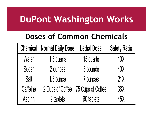### **Doses of Common Chemicals**

| <b>Chemical</b> | <b>Normal Daily Dose</b> | <b>Lethal Dose</b> | <b>Safety Ratio</b> |
|-----------------|--------------------------|--------------------|---------------------|
| Water           | 1.5 quarts               | 15 quarts          | <b>10X</b>          |
| Sugar           | 2 ounces                 | 5 pounds           | 40X                 |
| Salt            | 1/3 ounce                | 7 ounces           | 21X                 |
| Caffeine        | 2 Cups of Coffee         | 75 Cups of Coffee  | <b>38X</b>          |
| Aspirin         | 2 tablets                | 90 tablets         | 45X                 |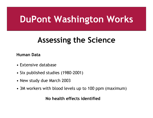### **Assessing the Science**

**Human Data**

- Extensive database
- Six published studies (1980-2001)
- New study due March 2003
- 3M workers with blood levels up to 100 ppm (maximum)

**No health effects identified**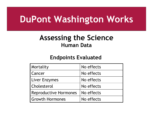#### **Assessing the Science Human Data**

#### **Endpoints Evaluated**

| Mortality                    | No effects |
|------------------------------|------------|
| <b>Cancer</b>                | No effects |
| <b>Liver Enzymes</b>         | No effects |
| <b>Cholesterol</b>           | No effects |
| <b>Reproductive Hormones</b> | No effects |
| <b>Growth Hormones</b>       | No effects |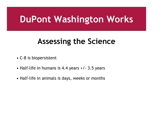### **Assessing the Science**

- C-8 is biopersistent
- Half-life in humans is 4.4 years +/- 3.5 years
- Half-life in animals is days, weeks or months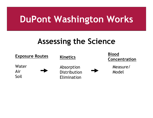#### **Assessing the Science**

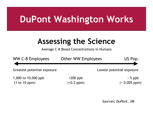### **Assessing the Science**

Average C-8 Blood Concentrations in Humans



*Sources: DuPont, 3M*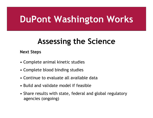### **Assessing the Science**

#### **Next Steps**

- Complete animal kinetic studies
- Complete blood binding studies
- Continue to evaluate all available data
- Build and validate model if feasible
- Share results with state, federal and global regulatory agencies (ongoing)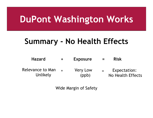### **Summary - No Health Effects**

| <b>Hazard</b>                | $\mathbf +$ | <b>Exposure</b>          | $=$                       | <b>Risk</b>                       |
|------------------------------|-------------|--------------------------|---------------------------|-----------------------------------|
| Relevance to Man<br>Unlikely |             | <b>Very Low</b><br>(ppb) | $\mathbf{r} = \mathbf{r}$ | Expectation:<br>No Health Effects |

Wide Margin of Safety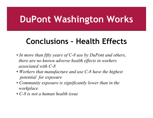### **Conclusions – Health Effects**

- • *In more than fifty years of C-8 use by DuPont and others, there are no known adverse health effects in workers associated with C-8*
- • *Workers that manufacture and use C-8 have the highest potential for exposure*
- • *Community exposure is significantly lower than in the workplace*
- *C-8 is not a human health issue*